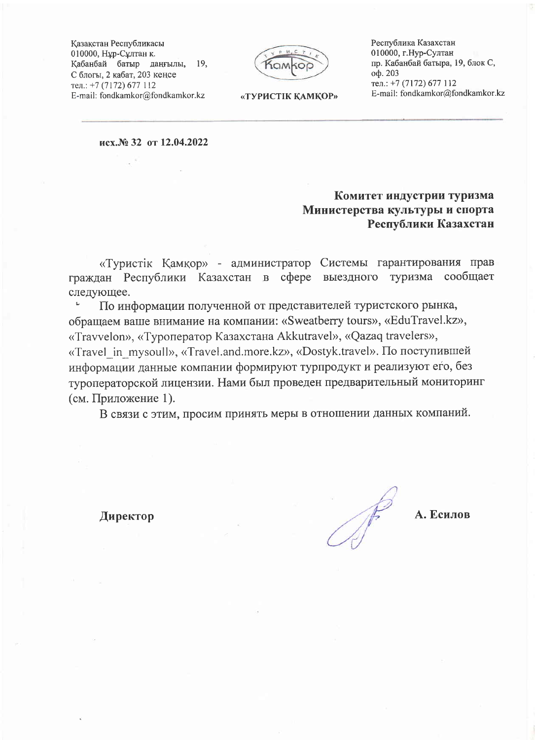Казакстан Республикасы 010000, Нұр-Сұлтан қ. Қабанбай батыр даңғылы, 19, С блогы, 2 кабат, 203 кеңсе тел.: +7 (7172) 677 112 E-mail: fondkamkor@fondkamkor.kz

Республика Казахстан 010000, г.Нур-Султан пр. Кабанбай батыра, 19, блок С, оф. 203 тел.: +7 (7172) 677 112 E-mail: fondkamkor@fondkamkor.kz

«ТУРИСТІК КАМКОР»

исх.№ 32 от 12.04.2022

## Комитет индустрии туризма Министерства культуры и спорта Республики Казахстан

«Туристік Қамқор» - администратор Системы гарантирования прав граждан Республики Казахстан в сфере выездного туризма сообщает следующее.

По информации полученной от представителей туристского рынка, обращаем ваше внимание на компании: «Sweatberry tours», «EduTravel.kz», «Travvelon», «Туроператор Казахстана Akkutravel», «Qazaq travelers», «Travel in mysoull», «Travel.and.more.kz», «Dostyk.travel». По поступившей информации данные компании формируют турпродукт и реализуют его, без туроператорской лицензии. Нами был проведен предварительный мониторинг (см. Приложение 1).

В связи с этим, просим принять меры в отношении данных компаний.

Директор

А. Есилов